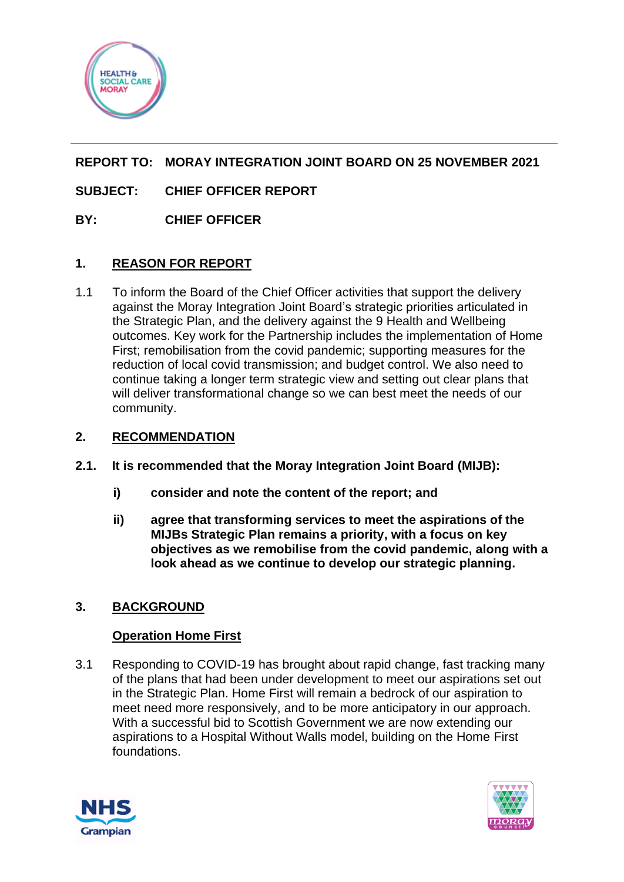

# **REPORT TO: MORAY INTEGRATION JOINT BOARD ON 25 NOVEMBER 2021**

# **SUBJECT: CHIEF OFFICER REPORT**

## **BY: CHIEF OFFICER**

## **1. REASON FOR REPORT**

1.1 To inform the Board of the Chief Officer activities that support the delivery against the Moray Integration Joint Board's strategic priorities articulated in the Strategic Plan, and the delivery against the 9 Health and Wellbeing outcomes. Key work for the Partnership includes the implementation of Home First; remobilisation from the covid pandemic; supporting measures for the reduction of local covid transmission; and budget control. We also need to continue taking a longer term strategic view and setting out clear plans that will deliver transformational change so we can best meet the needs of our community.

## **2. RECOMMENDATION**

- **2.1. It is recommended that the Moray Integration Joint Board (MIJB):**
	- **i) consider and note the content of the report; and**
	- **ii) agree that transforming services to meet the aspirations of the MIJBs Strategic Plan remains a priority, with a focus on key objectives as we remobilise from the covid pandemic, along with a look ahead as we continue to develop our strategic planning.**

## **3. BACKGROUND**

## **Operation Home First**

3.1 Responding to COVID-19 has brought about rapid change, fast tracking many of the plans that had been under development to meet our aspirations set out in the Strategic Plan. Home First will remain a bedrock of our aspiration to meet need more responsively, and to be more anticipatory in our approach. With a successful bid to Scottish Government we are now extending our aspirations to a Hospital Without Walls model, building on the Home First foundations.



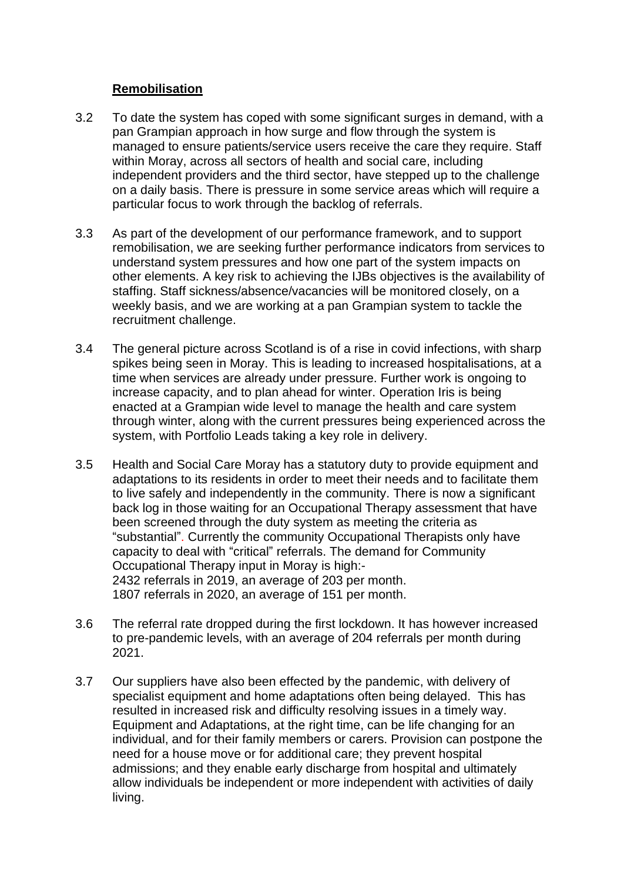#### **Remobilisation**

- 3.2 To date the system has coped with some significant surges in demand, with a pan Grampian approach in how surge and flow through the system is managed to ensure patients/service users receive the care they require. Staff within Moray, across all sectors of health and social care, including independent providers and the third sector, have stepped up to the challenge on a daily basis. There is pressure in some service areas which will require a particular focus to work through the backlog of referrals.
- 3.3 As part of the development of our performance framework, and to support remobilisation, we are seeking further performance indicators from services to understand system pressures and how one part of the system impacts on other elements. A key risk to achieving the IJBs objectives is the availability of staffing. Staff sickness/absence/vacancies will be monitored closely, on a weekly basis, and we are working at a pan Grampian system to tackle the recruitment challenge.
- 3.4 The general picture across Scotland is of a rise in covid infections, with sharp spikes being seen in Moray. This is leading to increased hospitalisations, at a time when services are already under pressure. Further work is ongoing to increase capacity, and to plan ahead for winter. Operation Iris is being enacted at a Grampian wide level to manage the health and care system through winter, along with the current pressures being experienced across the system, with Portfolio Leads taking a key role in delivery.
- 3.5 Health and Social Care Moray has a statutory duty to provide equipment and adaptations to its residents in order to meet their needs and to facilitate them to live safely and independently in the community. There is now a significant back log in those waiting for an Occupational Therapy assessment that have been screened through the duty system as meeting the criteria as "substantial". Currently the community Occupational Therapists only have capacity to deal with "critical" referrals. The demand for Community Occupational Therapy input in Moray is high:- 2432 referrals in 2019, an average of 203 per month. 1807 referrals in 2020, an average of 151 per month.
- 3.6 The referral rate dropped during the first lockdown. It has however increased to pre-pandemic levels, with an average of 204 referrals per month during 2021.
- 3.7 Our suppliers have also been effected by the pandemic, with delivery of specialist equipment and home adaptations often being delayed. This has resulted in increased risk and difficulty resolving issues in a timely way. Equipment and Adaptations, at the right time, can be life changing for an individual, and for their family members or carers. Provision can postpone the need for a house move or for additional care; they prevent hospital admissions; and they enable early discharge from hospital and ultimately allow individuals be independent or more independent with activities of daily living.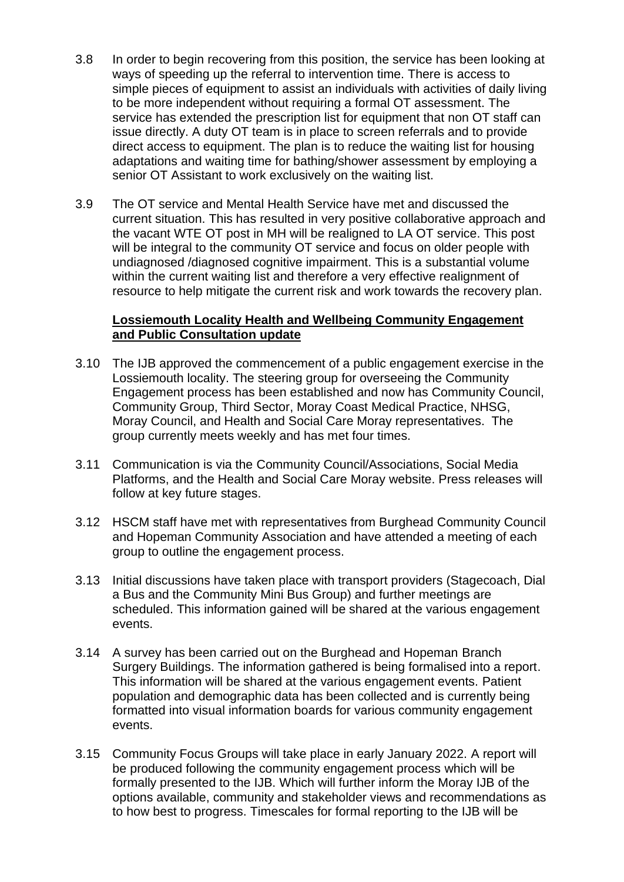- 3.8 In order to begin recovering from this position, the service has been looking at ways of speeding up the referral to intervention time. There is access to simple pieces of equipment to assist an individuals with activities of daily living to be more independent without requiring a formal OT assessment. The service has extended the prescription list for equipment that non OT staff can issue directly. A duty OT team is in place to screen referrals and to provide direct access to equipment. The plan is to reduce the waiting list for housing adaptations and waiting time for bathing/shower assessment by employing a senior OT Assistant to work exclusively on the waiting list.
- 3.9 The OT service and Mental Health Service have met and discussed the current situation. This has resulted in very positive collaborative approach and the vacant WTE OT post in MH will be realigned to LA OT service. This post will be integral to the community OT service and focus on older people with undiagnosed /diagnosed cognitive impairment. This is a substantial volume within the current waiting list and therefore a very effective realignment of resource to help mitigate the current risk and work towards the recovery plan.

#### **Lossiemouth Locality Health and Wellbeing Community Engagement and Public Consultation update**

- 3.10 The IJB approved the commencement of a public engagement exercise in the Lossiemouth locality. The steering group for overseeing the Community Engagement process has been established and now has Community Council, Community Group, Third Sector, Moray Coast Medical Practice, NHSG, Moray Council, and Health and Social Care Moray representatives. The group currently meets weekly and has met four times.
- 3.11 Communication is via the Community Council/Associations, Social Media Platforms, and the Health and Social Care Moray website. Press releases will follow at key future stages.
- 3.12 HSCM staff have met with representatives from Burghead Community Council and Hopeman Community Association and have attended a meeting of each group to outline the engagement process.
- 3.13 Initial discussions have taken place with transport providers (Stagecoach, Dial a Bus and the Community Mini Bus Group) and further meetings are scheduled. This information gained will be shared at the various engagement events.
- 3.14 A survey has been carried out on the Burghead and Hopeman Branch Surgery Buildings. The information gathered is being formalised into a report. This information will be shared at the various engagement events. Patient population and demographic data has been collected and is currently being formatted into visual information boards for various community engagement events.
- 3.15 Community Focus Groups will take place in early January 2022. A report will be produced following the community engagement process which will be formally presented to the IJB. Which will further inform the Moray IJB of the options available, community and stakeholder views and recommendations as to how best to progress. Timescales for formal reporting to the IJB will be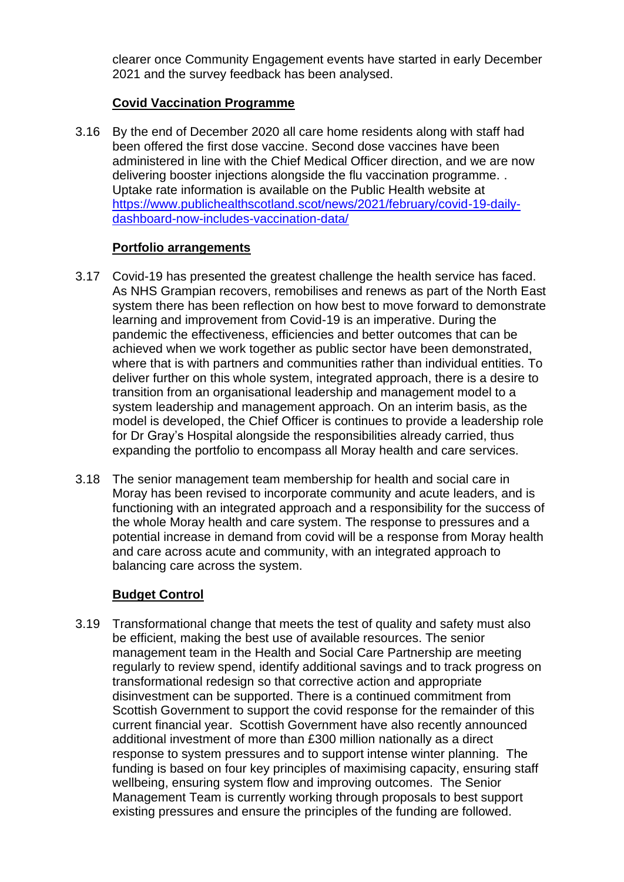clearer once Community Engagement events have started in early December 2021 and the survey feedback has been analysed.

## **Covid Vaccination Programme**

3.16 By the end of December 2020 all care home residents along with staff had been offered the first dose vaccine. Second dose vaccines have been administered in line with the Chief Medical Officer direction, and we are now delivering booster injections alongside the flu vaccination programme. . Uptake rate information is available on the Public Health website at [https://www.publichealthscotland.scot/news/2021/february/covid-19-daily](https://www.publichealthscotland.scot/news/2021/february/covid-19-daily-dashboard-now-includes-vaccination-data/)[dashboard-now-includes-vaccination-data/](https://www.publichealthscotland.scot/news/2021/february/covid-19-daily-dashboard-now-includes-vaccination-data/)

## **Portfolio arrangements**

- 3.17 Covid-19 has presented the greatest challenge the health service has faced. As NHS Grampian recovers, remobilises and renews as part of the North East system there has been reflection on how best to move forward to demonstrate learning and improvement from Covid-19 is an imperative. During the pandemic the effectiveness, efficiencies and better outcomes that can be achieved when we work together as public sector have been demonstrated, where that is with partners and communities rather than individual entities. To deliver further on this whole system, integrated approach, there is a desire to transition from an organisational leadership and management model to a system leadership and management approach. On an interim basis, as the model is developed, the Chief Officer is continues to provide a leadership role for Dr Gray's Hospital alongside the responsibilities already carried, thus expanding the portfolio to encompass all Moray health and care services.
- 3.18 The senior management team membership for health and social care in Moray has been revised to incorporate community and acute leaders, and is functioning with an integrated approach and a responsibility for the success of the whole Moray health and care system. The response to pressures and a potential increase in demand from covid will be a response from Moray health and care across acute and community, with an integrated approach to balancing care across the system.

# **Budget Control**

3.19 Transformational change that meets the test of quality and safety must also be efficient, making the best use of available resources. The senior management team in the Health and Social Care Partnership are meeting regularly to review spend, identify additional savings and to track progress on transformational redesign so that corrective action and appropriate disinvestment can be supported. There is a continued commitment from Scottish Government to support the covid response for the remainder of this current financial year. Scottish Government have also recently announced additional investment of more than £300 million nationally as a direct response to system pressures and to support intense winter planning. The funding is based on four key principles of maximising capacity, ensuring staff wellbeing, ensuring system flow and improving outcomes. The Senior Management Team is currently working through proposals to best support existing pressures and ensure the principles of the funding are followed.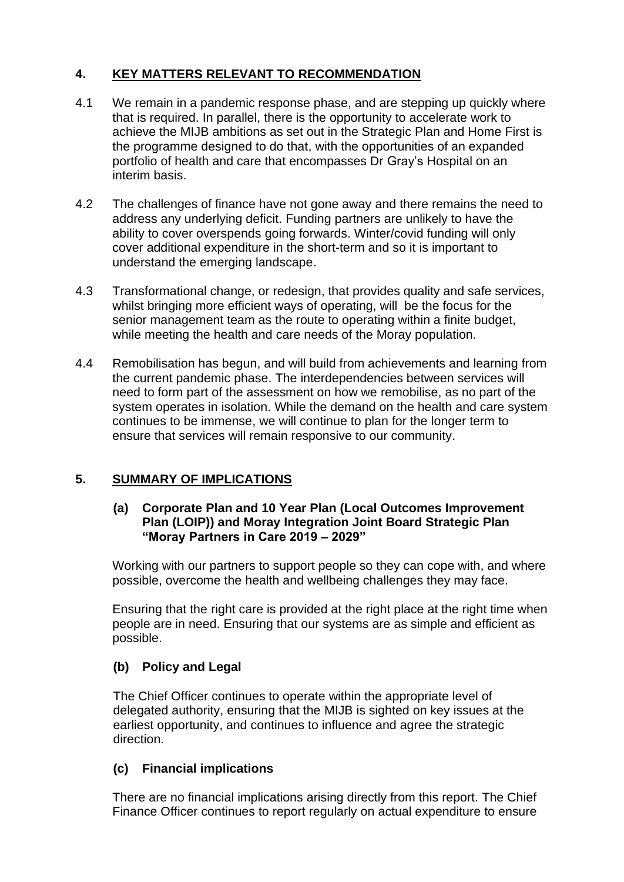## **4. KEY MATTERS RELEVANT TO RECOMMENDATION**

- 4.1 We remain in a pandemic response phase, and are stepping up quickly where that is required. In parallel, there is the opportunity to accelerate work to achieve the MIJB ambitions as set out in the Strategic Plan and Home First is the programme designed to do that, with the opportunities of an expanded portfolio of health and care that encompasses Dr Gray's Hospital on an interim basis.
- 4.2 The challenges of finance have not gone away and there remains the need to address any underlying deficit. Funding partners are unlikely to have the ability to cover overspends going forwards. Winter/covid funding will only cover additional expenditure in the short-term and so it is important to understand the emerging landscape.
- 4.3 Transformational change, or redesign, that provides quality and safe services, whilst bringing more efficient ways of operating, will be the focus for the senior management team as the route to operating within a finite budget, while meeting the health and care needs of the Moray population.
- 4.4 Remobilisation has begun, and will build from achievements and learning from the current pandemic phase. The interdependencies between services will need to form part of the assessment on how we remobilise, as no part of the system operates in isolation. While the demand on the health and care system continues to be immense, we will continue to plan for the longer term to ensure that services will remain responsive to our community.

## **5. SUMMARY OF IMPLICATIONS**

#### **(a) Corporate Plan and 10 Year Plan (Local Outcomes Improvement Plan (LOIP)) and Moray Integration Joint Board Strategic Plan "Moray Partners in Care 2019 – 2029"**

Working with our partners to support people so they can cope with, and where possible, overcome the health and wellbeing challenges they may face.

Ensuring that the right care is provided at the right place at the right time when people are in need. Ensuring that our systems are as simple and efficient as possible.

## **(b) Policy and Legal**

The Chief Officer continues to operate within the appropriate level of delegated authority, ensuring that the MIJB is sighted on key issues at the earliest opportunity, and continues to influence and agree the strategic direction.

## **(c) Financial implications**

There are no financial implications arising directly from this report. The Chief Finance Officer continues to report regularly on actual expenditure to ensure